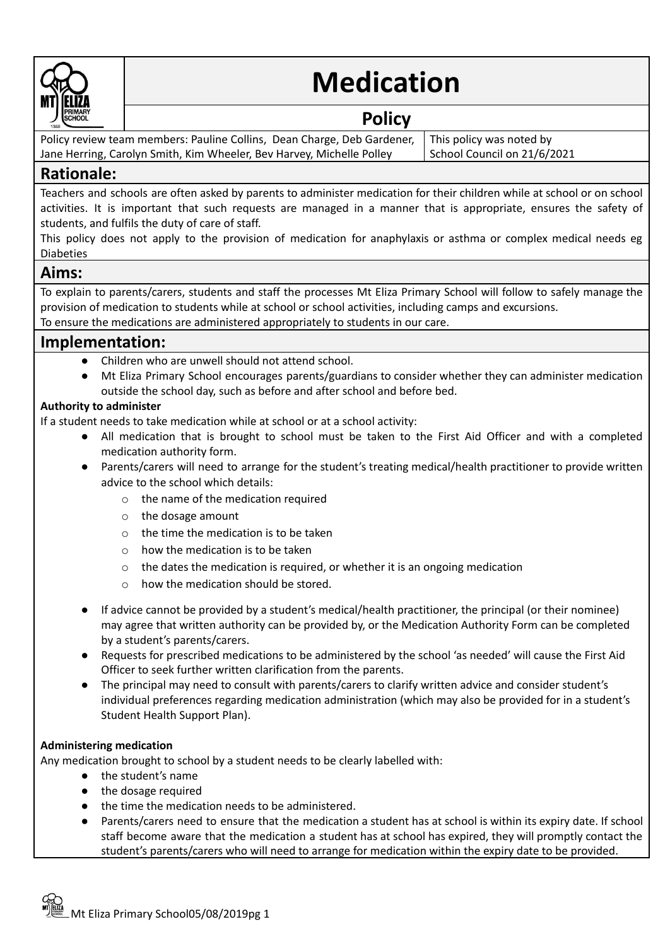

# **Medication**

# **Policy**

Policy review team members: Pauline Collins, Dean Charge, Deb Gardener, Jane Herring, Carolyn Smith, Kim Wheeler, Bev Harvey, Michelle Polley

This policy was noted by School Council on 21/6/2021

# **Rationale:**

Teachers and schools are often asked by parents to administer medication for their children while at school or on school activities. It is important that such requests are managed in a manner that is appropriate, ensures the safety of students, and fulfils the duty of care of staff.

This policy does not apply to the provision of medication for anaphylaxis or asthma or complex medical needs eg Diabeties

## **Aims:**

To explain to parents/carers, students and staff the processes Mt Eliza Primary School will follow to safely manage the provision of medication to students while at school or school activities, including camps and excursions.

To ensure the medications are administered appropriately to students in our care.

# **Implementation:**

- **●** Children who are unwell should not attend school.
- **●** Mt Eliza Primary School encourages parents/guardians to consider whether they can administer medication outside the school day, such as before and after school and before bed.

## **Authority to administer**

If a student needs to take medication while at school or at a school activity:

- All medication that is brought to school must be taken to the First Aid Officer and with a completed medication authority form.
- Parents/carers will need to arrange for the student's treating medical/health practitioner to provide written advice to the school which details:
	- o the name of the medication required
	- o the dosage amount
	- $\circ$  the time the medication is to be taken
	- o how the medication is to be taken
	- $\circ$  the dates the medication is required, or whether it is an ongoing medication
	- o how the medication should be stored.
- If advice cannot be provided by a student's medical/health practitioner, the principal (or their nominee) may agree that written authority can be provided by, or the Medication Authority Form can be completed by a student's parents/carers.
- Requests for prescribed medications to be administered by the school 'as needed' will cause the First Aid Officer to seek further written clarification from the parents.
- The principal may need to consult with parents/carers to clarify written advice and consider student's individual preferences regarding medication administration (which may also be provided for in a student's Student Health Support Plan).

## **Administering medication**

Any medication brought to school by a student needs to be clearly labelled with:

- the student's name
- the dosage required
- the time the medication needs to be administered.
- Parents/carers need to ensure that the medication a student has at school is within its expiry date. If school staff become aware that the medication a student has at school has expired, they will promptly contact the student's parents/carers who will need to arrange for medication within the expiry date to be provided.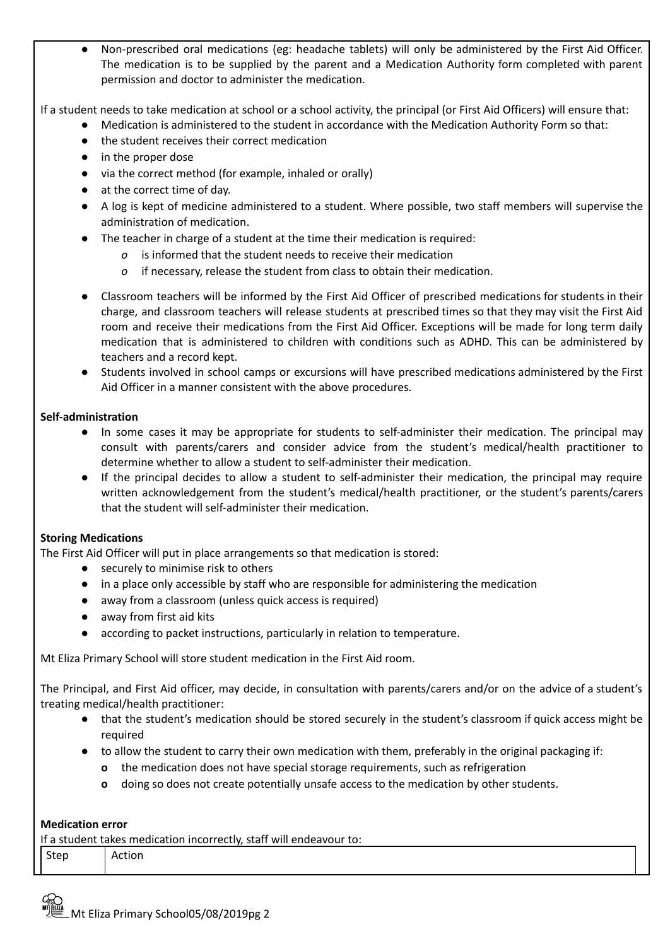Non-prescribed oral medications (eg: headache tablets) will only be administered by the First Aid Officer. The medication is to be supplied by the parent and a Medication Authority form completed with parent permission and doctor to administer the medication.

If a student needs to take medication at school or a school activity, the principal (or First Aid Officers) will ensure that:

- Medication is administered to the student in accordance with the Medication Authority Form so that:
- *●* the student receives their correct medication
- *●* in the proper dose
- *●* via the correct method (for example, inhaled or orally)
- *●* at the correct time of day.
- A log is kept of medicine administered to a student. Where possible, two staff members will supervise the administration of medication.
- The teacher in charge of a student at the time their medication is required:
	- *o* is informed that the student needs to receive their medication
	- *o* if necessary, release the student from class to obtain their medication.
- Classroom teachers will be informed by the First Aid Officer of prescribed medications for students in their charge, and classroom teachers will release students at prescribed times so that they may visit the First Aid room and receive their medications from the First Aid Officer. Exceptions will be made for long term daily medication that is administered to children with conditions such as ADHD. This can be administered by teachers and a record kept.
- **●** Students involved in school camps or excursions will have prescribed medications administered by the First Aid Officer in a manner consistent with the above procedures.

### **Self-administration**

- In some cases it may be appropriate for students to self-administer their medication. The principal may consult with parents/carers and consider advice from the student's medical/health practitioner to determine whether to allow a student to self-administer their medication.
- If the principal decides to allow a student to self-administer their medication, the principal may require written acknowledgement from the student's medical/health practitioner, or the student's parents/carers that the student will self-administer their medication.

## **Storing Medications**

The First Aid Officer will put in place arrangements so that medication is stored:

- securely to minimise risk to others
- in a place only accessible by staff who are responsible for administering the medication
- away from a classroom (unless quick access is required)
- away from first aid kits
- according to packet instructions, particularly in relation to temperature.

Mt Eliza Primary School will store student medication in the First Aid room.

The Principal, and First Aid officer, may decide, in consultation with parents/carers and/or on the advice of a student's treating medical/health practitioner:

- that the student's medication should be stored securely in the student's classroom if quick access might be required
- **●** to allow the student to carry their own medication with them, preferably in the original packaging if:
	- **o** the medication does not have special storage requirements, such as refrigeration
	- **o** doing so does not create potentially unsafe access to the medication by other students.

#### **Medication error**

| If a student takes medication incorrectly, staff will endeavour to: |        |  |
|---------------------------------------------------------------------|--------|--|
| <sup>I</sup> Step                                                   | Action |  |